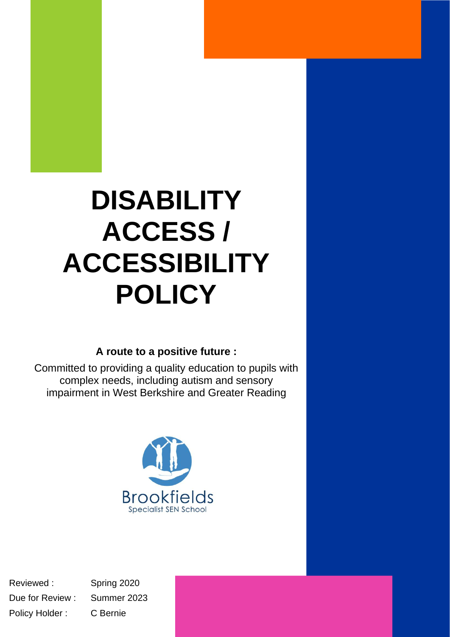## **DISABILITY ACCESS / ACCESSIBILITY POLICY**

## **A route to a positive future :**

Committed to providing a quality education to pupils with complex needs, including autism and sensory impairment in West Berkshire and Greater Reading



Reviewed : Spring 2020 Due for Review : Summer 2023 Policy Holder : C Bernie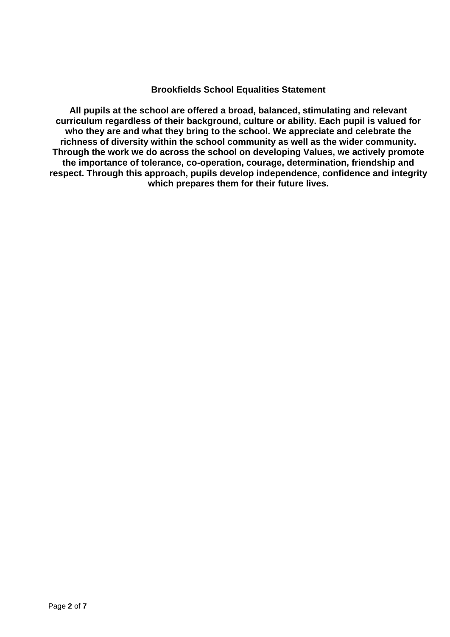## **Brookfields School Equalities Statement**

**All pupils at the school are offered a broad, balanced, stimulating and relevant curriculum regardless of their background, culture or ability. Each pupil is valued for who they are and what they bring to the school. We appreciate and celebrate the richness of diversity within the school community as well as the wider community. Through the work we do across the school on developing Values, we actively promote the importance of tolerance, co-operation, courage, determination, friendship and respect. Through this approach, pupils develop independence, confidence and integrity which prepares them for their future lives.**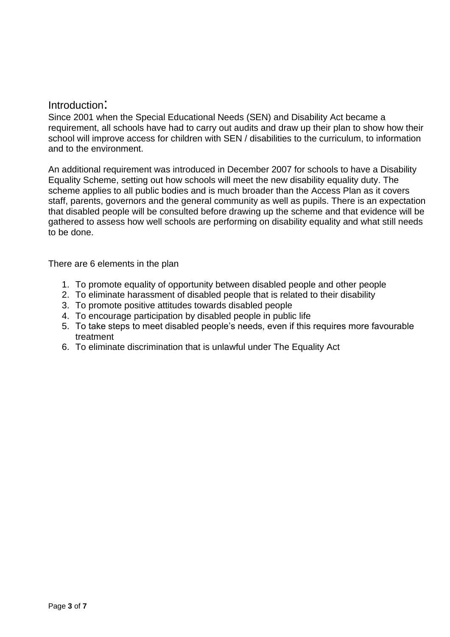## Introduction:

Since 2001 when the Special Educational Needs (SEN) and Disability Act became a requirement, all schools have had to carry out audits and draw up their plan to show how their school will improve access for children with SEN / disabilities to the curriculum, to information and to the environment.

An additional requirement was introduced in December 2007 for schools to have a Disability Equality Scheme, setting out how schools will meet the new disability equality duty. The scheme applies to all public bodies and is much broader than the Access Plan as it covers staff, parents, governors and the general community as well as pupils. There is an expectation that disabled people will be consulted before drawing up the scheme and that evidence will be gathered to assess how well schools are performing on disability equality and what still needs to be done.

There are 6 elements in the plan

- 1. To promote equality of opportunity between disabled people and other people
- 2. To eliminate harassment of disabled people that is related to their disability
- 3. To promote positive attitudes towards disabled people
- 4. To encourage participation by disabled people in public life
- 5. To take steps to meet disabled people's needs, even if this requires more favourable treatment
- 6. To eliminate discrimination that is unlawful under The Equality Act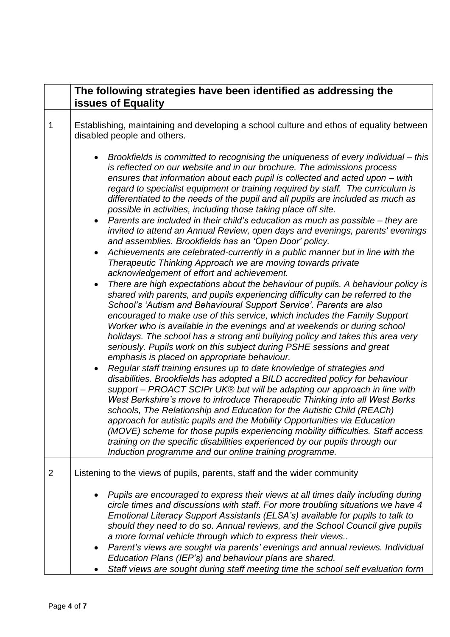|                | The following strategies have been identified as addressing the<br>issues of Equality                                                                                                                                                                                                                                                                                                                                                                                                                                                                                                                                                                                                                                                                                                                                                                                                                                                                                                                                                                                                                                                                                                                                                                                                                                                                                                                                                                                                                                                                                                                                                                                                                                                                                                                                                                                                                                                                                                                                                                                                                                                                                                                                                                               |
|----------------|---------------------------------------------------------------------------------------------------------------------------------------------------------------------------------------------------------------------------------------------------------------------------------------------------------------------------------------------------------------------------------------------------------------------------------------------------------------------------------------------------------------------------------------------------------------------------------------------------------------------------------------------------------------------------------------------------------------------------------------------------------------------------------------------------------------------------------------------------------------------------------------------------------------------------------------------------------------------------------------------------------------------------------------------------------------------------------------------------------------------------------------------------------------------------------------------------------------------------------------------------------------------------------------------------------------------------------------------------------------------------------------------------------------------------------------------------------------------------------------------------------------------------------------------------------------------------------------------------------------------------------------------------------------------------------------------------------------------------------------------------------------------------------------------------------------------------------------------------------------------------------------------------------------------------------------------------------------------------------------------------------------------------------------------------------------------------------------------------------------------------------------------------------------------------------------------------------------------------------------------------------------------|
| 1              | Establishing, maintaining and developing a school culture and ethos of equality between<br>disabled people and others.                                                                                                                                                                                                                                                                                                                                                                                                                                                                                                                                                                                                                                                                                                                                                                                                                                                                                                                                                                                                                                                                                                                                                                                                                                                                                                                                                                                                                                                                                                                                                                                                                                                                                                                                                                                                                                                                                                                                                                                                                                                                                                                                              |
|                | Brookfields is committed to recognising the uniqueness of every individual - this<br>is reflected on our website and in our brochure. The admissions process<br>ensures that information about each pupil is collected and acted upon – with<br>regard to specialist equipment or training required by staff. The curriculum is<br>differentiated to the needs of the pupil and all pupils are included as much as<br>possible in activities, including those taking place off site.<br>Parents are included in their child's education as much as possible - they are<br>invited to attend an Annual Review, open days and evenings, parents' evenings<br>and assemblies. Brookfields has an 'Open Door' policy.<br>Achievements are celebrated-currently in a public manner but in line with the<br>$\bullet$<br>Therapeutic Thinking Approach we are moving towards private<br>acknowledgement of effort and achievement.<br>There are high expectations about the behaviour of pupils. A behaviour policy is<br>$\bullet$<br>shared with parents, and pupils experiencing difficulty can be referred to the<br>School's 'Autism and Behavioural Support Service'. Parents are also<br>encouraged to make use of this service, which includes the Family Support<br>Worker who is available in the evenings and at weekends or during school<br>holidays. The school has a strong anti bullying policy and takes this area very<br>seriously. Pupils work on this subject during PSHE sessions and great<br>emphasis is placed on appropriate behaviour.<br>Regular staff training ensures up to date knowledge of strategies and<br>disabilities. Brookfields has adopted a BILD accredited policy for behaviour<br>support - PROACT SCIPr UK® but will be adapting our approach in line with<br>West Berkshire's move to introduce Therapeutic Thinking into all West Berks<br>schools, The Relationship and Education for the Autistic Child (REACh)<br>approach for autistic pupils and the Mobility Opportunities via Education<br>(MOVE) scheme for those pupils experiencing mobility difficulties. Staff access<br>training on the specific disabilities experienced by our pupils through our<br>Induction programme and our online training programme. |
| $\overline{2}$ | Listening to the views of pupils, parents, staff and the wider community                                                                                                                                                                                                                                                                                                                                                                                                                                                                                                                                                                                                                                                                                                                                                                                                                                                                                                                                                                                                                                                                                                                                                                                                                                                                                                                                                                                                                                                                                                                                                                                                                                                                                                                                                                                                                                                                                                                                                                                                                                                                                                                                                                                            |
|                | Pupils are encouraged to express their views at all times daily including during<br>circle times and discussions with staff. For more troubling situations we have 4<br>Emotional Literacy Support Assistants (ELSA's) available for pupils to talk to<br>should they need to do so. Annual reviews, and the School Council give pupils<br>a more formal vehicle through which to express their views<br>Parent's views are sought via parents' evenings and annual reviews. Individual<br>Education Plans (IEP's) and behaviour plans are shared.<br>Staff views are sought during staff meeting time the school self evaluation form                                                                                                                                                                                                                                                                                                                                                                                                                                                                                                                                                                                                                                                                                                                                                                                                                                                                                                                                                                                                                                                                                                                                                                                                                                                                                                                                                                                                                                                                                                                                                                                                                              |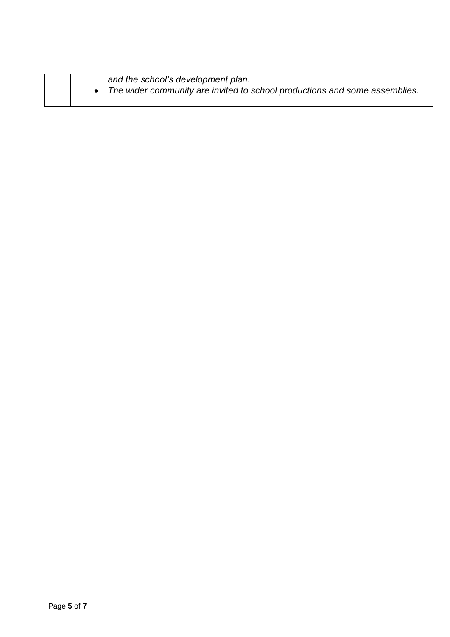|  | and the school's development plan.                                         |
|--|----------------------------------------------------------------------------|
|  | The wider community are invited to school productions and some assemblies. |
|  |                                                                            |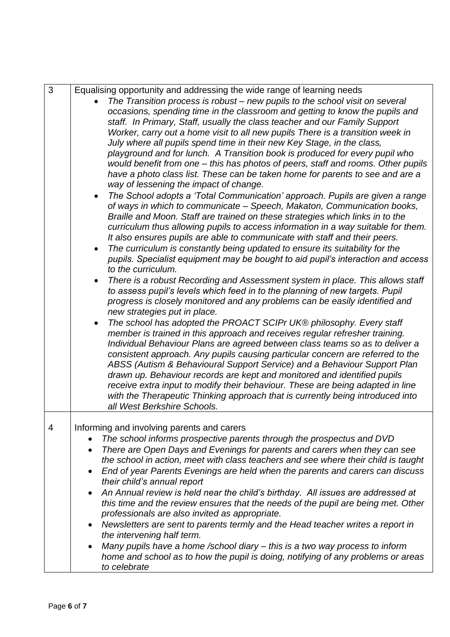| 3                       | Equalising opportunity and addressing the wide range of learning needs                                                                                                                                                                                                                                                                                                                                                                                                                                                                                                                                                                                                                                                                                                                                                                                                                                                                                                                                                                                                                                                                                                                                                                                                                                                                                                                                                                                                                                                                                                                                                                                                                                                                                                                                                                                                                                                                                                                                                                                                                                                                                                                                                                                                           |
|-------------------------|----------------------------------------------------------------------------------------------------------------------------------------------------------------------------------------------------------------------------------------------------------------------------------------------------------------------------------------------------------------------------------------------------------------------------------------------------------------------------------------------------------------------------------------------------------------------------------------------------------------------------------------------------------------------------------------------------------------------------------------------------------------------------------------------------------------------------------------------------------------------------------------------------------------------------------------------------------------------------------------------------------------------------------------------------------------------------------------------------------------------------------------------------------------------------------------------------------------------------------------------------------------------------------------------------------------------------------------------------------------------------------------------------------------------------------------------------------------------------------------------------------------------------------------------------------------------------------------------------------------------------------------------------------------------------------------------------------------------------------------------------------------------------------------------------------------------------------------------------------------------------------------------------------------------------------------------------------------------------------------------------------------------------------------------------------------------------------------------------------------------------------------------------------------------------------------------------------------------------------------------------------------------------------|
|                         | The Transition process is robust – new pupils to the school visit on several<br>occasions, spending time in the classroom and getting to know the pupils and<br>staff. In Primary, Staff, usually the class teacher and our Family Support<br>Worker, carry out a home visit to all new pupils There is a transition week in<br>July where all pupils spend time in their new Key Stage, in the class,<br>playground and for lunch. A Transition book is produced for every pupil who<br>would benefit from one – this has photos of peers, staff and rooms. Other pupils<br>have a photo class list. These can be taken home for parents to see and are a<br>way of lessening the impact of change.<br>The School adopts a 'Total Communication' approach. Pupils are given a range<br>of ways in which to communicate - Speech, Makaton, Communication books,<br>Braille and Moon. Staff are trained on these strategies which links in to the<br>curriculum thus allowing pupils to access information in a way suitable for them.<br>It also ensures pupils are able to communicate with staff and their peers.<br>The curriculum is constantly being updated to ensure its suitability for the<br>pupils. Specialist equipment may be bought to aid pupil's interaction and access<br>to the curriculum.<br>There is a robust Recording and Assessment system in place. This allows staff<br>to assess pupil's levels which feed in to the planning of new targets. Pupil<br>progress is closely monitored and any problems can be easily identified and<br>new strategies put in place.<br>The school has adopted the PROACT SCIPr UK® philosophy. Every staff<br>member is trained in this approach and receives regular refresher training.<br>Individual Behaviour Plans are agreed between class teams so as to deliver a<br>consistent approach. Any pupils causing particular concern are referred to the<br>ABSS (Autism & Behavioural Support Service) and a Behaviour Support Plan<br>drawn up. Behaviour records are kept and monitored and identified pupils<br>receive extra input to modify their behaviour. These are being adapted in line<br>with the Therapeutic Thinking approach that is currently being introduced into<br>all West Berkshire Schools. |
| $\overline{\mathbf{4}}$ | Informing and involving parents and carers<br>The school informs prospective parents through the prospectus and DVD<br>There are Open Days and Evenings for parents and carers when they can see<br>the school in action, meet with class teachers and see where their child is taught<br>End of year Parents Evenings are held when the parents and carers can discuss<br>their child's annual report<br>An Annual review is held near the child's birthday. All issues are addressed at<br>this time and the review ensures that the needs of the pupil are being met. Other<br>professionals are also invited as appropriate.<br>Newsletters are sent to parents termly and the Head teacher writes a report in<br>the intervening half term.<br>Many pupils have a home /school diary - this is a two way process to inform<br>home and school as to how the pupil is doing, notifying of any problems or areas<br>to celebrate                                                                                                                                                                                                                                                                                                                                                                                                                                                                                                                                                                                                                                                                                                                                                                                                                                                                                                                                                                                                                                                                                                                                                                                                                                                                                                                                              |